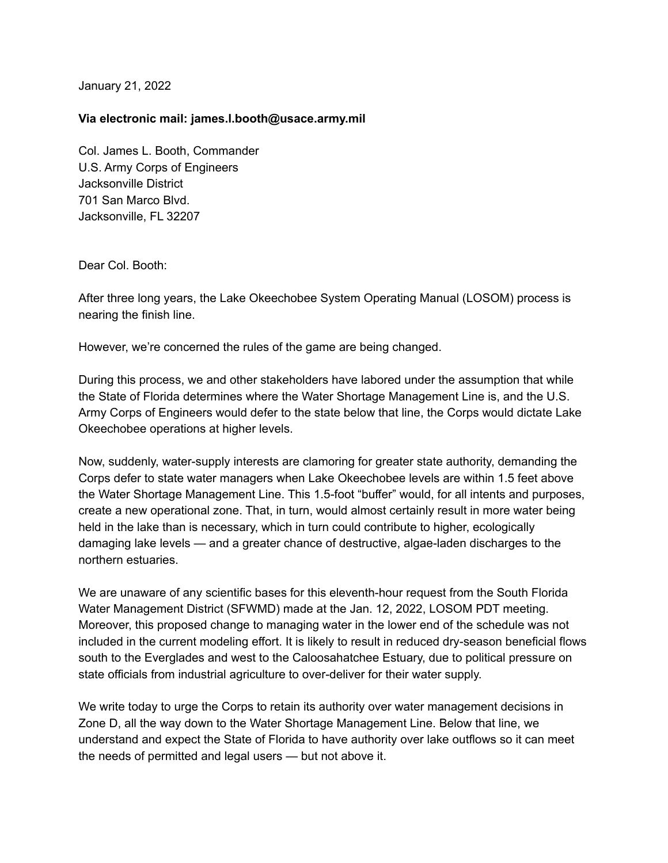January 21, 2022

## **Via electronic mail: james.l.booth@usace.army.mil**

Col. James L. Booth, Commander U.S. Army Corps of Engineers Jacksonville District 701 San Marco Blvd. Jacksonville, FL 32207

Dear Col. Booth:

After three long years, the Lake Okeechobee System Operating Manual (LOSOM) process is nearing the finish line.

However, we're concerned the rules of the game are being changed.

During this process, we and other stakeholders have labored under the assumption that while the State of Florida determines where the Water Shortage Management Line is, and the U.S. Army Corps of Engineers would defer to the state below that line, the Corps would dictate Lake Okeechobee operations at higher levels.

Now, suddenly, water-supply interests are clamoring for greater state authority, demanding the Corps defer to state water managers when Lake Okeechobee levels are within 1.5 feet above the Water Shortage Management Line. This 1.5-foot "buffer" would, for all intents and purposes, create a new operational zone. That, in turn, would almost certainly result in more water being held in the lake than is necessary, which in turn could contribute to higher, ecologically damaging lake levels — and a greater chance of destructive, algae-laden discharges to the northern estuaries.

We are unaware of any scientific bases for this eleventh-hour request from the South Florida Water Management District (SFWMD) made at the Jan. 12, 2022, LOSOM PDT meeting. Moreover, this proposed change to managing water in the lower end of the schedule was not included in the current modeling effort. It is likely to result in reduced dry-season beneficial flows south to the Everglades and west to the Caloosahatchee Estuary, due to political pressure on state officials from industrial agriculture to over-deliver for their water supply.

We write today to urge the Corps to retain its authority over water management decisions in Zone D, all the way down to the Water Shortage Management Line. Below that line, we understand and expect the State of Florida to have authority over lake outflows so it can meet the needs of permitted and legal users — but not above it.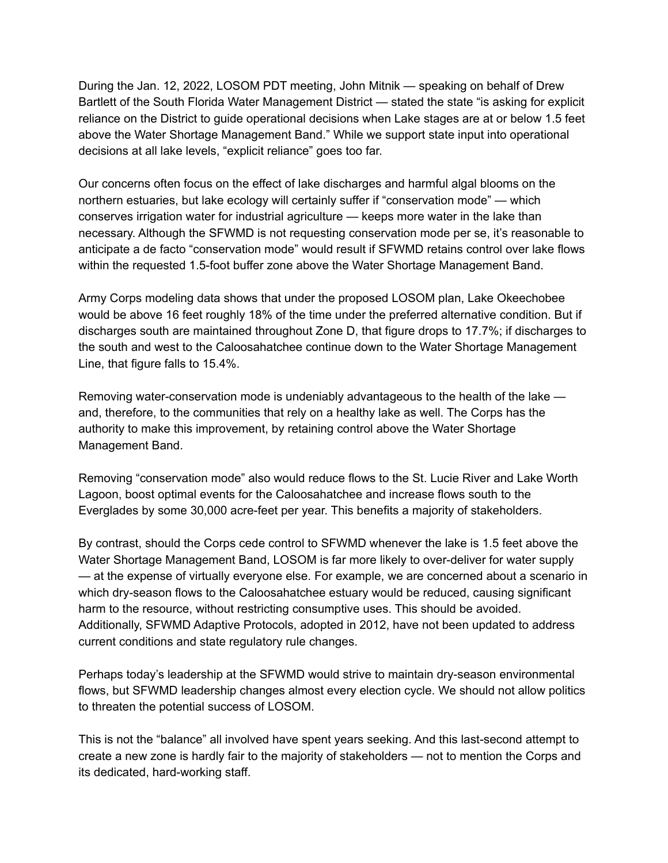During the Jan. 12, 2022, LOSOM PDT meeting, John Mitnik — speaking on behalf of Drew Bartlett of the South Florida Water Management District — stated the state "is asking for explicit reliance on the District to guide operational decisions when Lake stages are at or below 1.5 feet above the Water Shortage Management Band." While we support state input into operational decisions at all lake levels, "explicit reliance" goes too far.

Our concerns often focus on the effect of lake discharges and harmful algal blooms on the northern estuaries, but lake ecology will certainly suffer if "conservation mode" — which conserves irrigation water for industrial agriculture — keeps more water in the lake than necessary. Although the SFWMD is not requesting conservation mode per se, it's reasonable to anticipate a de facto "conservation mode" would result if SFWMD retains control over lake flows within the requested 1.5-foot buffer zone above the Water Shortage Management Band.

Army Corps modeling data shows that under the proposed LOSOM plan, Lake Okeechobee would be above 16 feet roughly 18% of the time under the preferred alternative condition. But if discharges south are maintained throughout Zone D, that figure drops to 17.7%; if discharges to the south and west to the Caloosahatchee continue down to the Water Shortage Management Line, that figure falls to 15.4%.

Removing water-conservation mode is undeniably advantageous to the health of the lake and, therefore, to the communities that rely on a healthy lake as well. The Corps has the authority to make this improvement, by retaining control above the Water Shortage Management Band.

Removing "conservation mode" also would reduce flows to the St. Lucie River and Lake Worth Lagoon, boost optimal events for the Caloosahatchee and increase flows south to the Everglades by some 30,000 acre-feet per year. This benefits a majority of stakeholders.

By contrast, should the Corps cede control to SFWMD whenever the lake is 1.5 feet above the Water Shortage Management Band, LOSOM is far more likely to over-deliver for water supply — at the expense of virtually everyone else. For example, we are concerned about a scenario in which dry-season flows to the Caloosahatchee estuary would be reduced, causing significant harm to the resource, without restricting consumptive uses. This should be avoided. Additionally, SFWMD Adaptive Protocols, adopted in 2012, have not been updated to address current conditions and state regulatory rule changes.

Perhaps today's leadership at the SFWMD would strive to maintain dry-season environmental flows, but SFWMD leadership changes almost every election cycle. We should not allow politics to threaten the potential success of LOSOM.

This is not the "balance" all involved have spent years seeking. And this last-second attempt to create a new zone is hardly fair to the majority of stakeholders — not to mention the Corps and its dedicated, hard-working staff.